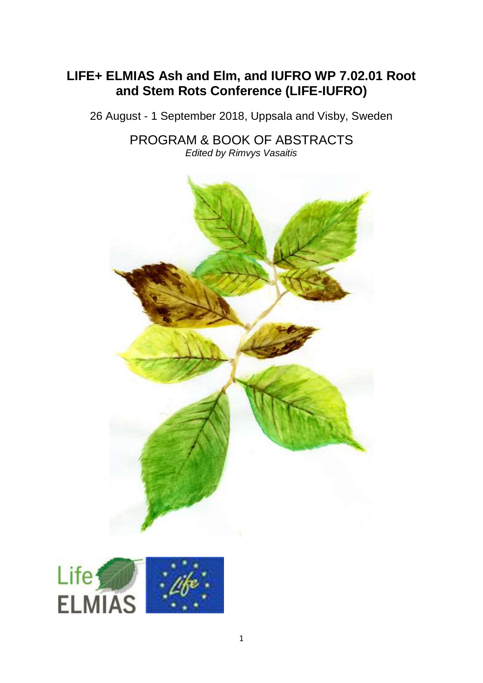## **LIFE+ ELMIAS Ash and Elm, and IUFRO WP 7.02.01 Root and Stem Rots Conference (LIFE-IUFRO)**

26 August - 1 September 2018, Uppsala and Visby, Sweden

PROGRAM & BOOK OF ABSTRACTS *Edited by Rimvys Vasaitis*



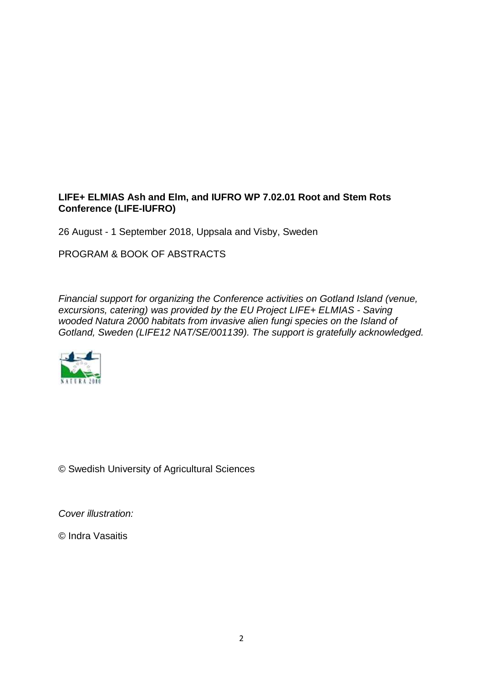## **LIFE+ ELMIAS Ash and Elm, and IUFRO WP 7.02.01 Root and Stem Rots Conference (LIFE-IUFRO)**

26 August - 1 September 2018, Uppsala and Visby, Sweden

PROGRAM & BOOK OF ABSTRACTS

*Financial support for organizing the Conference activities on Gotland Island (venue, excursions, catering) was provided by the EU Project LIFE+ ELMIAS - Saving wooded Natura 2000 habitats from invasive alien fungi species on the Island of Gotland, Sweden (LIFE12 NAT/SE/001139). The support is gratefully acknowledged.*



© Swedish University of Agricultural Sciences

*Cover illustration:*

© Indra Vasaitis